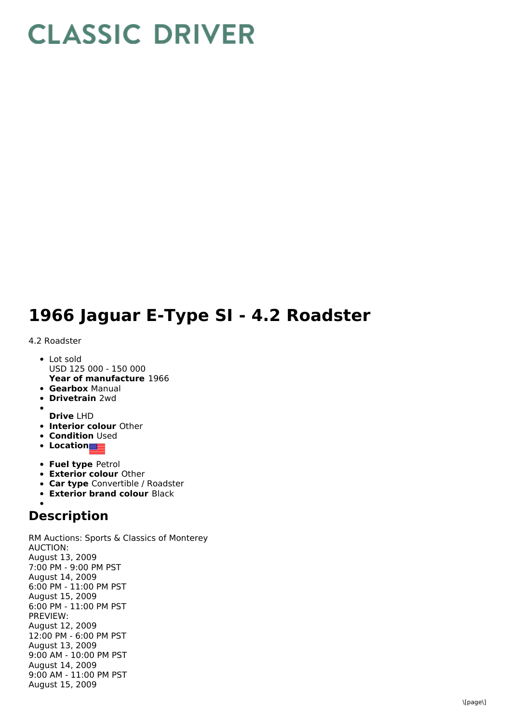## **CLASSIC DRIVER**

## **1966 Jaguar E-Type SI - 4.2 Roadster**

## 4.2 Roadster

- **Year of manufacture** 1966 • Lot sold USD 125 000 - 150 000
- **Gearbox** Manual
- **Drivetrain** 2wd
- **Drive** LHD
- **Interior colour** Other
- **Condition Used**
- **•** Location
- **Fuel type** Petrol
- **Exterior colour** Other
- **Car type** Convertible / Roadster
- **Exterior brand colour** Black

## **Description**

RM Auctions: Sports & Classics of Monterey AUCTION: August 13, 2009 7:00 PM - 9:00 PM PST August 14, 2009 6:00 PM - 11:00 PM PST August 15, 2009 6:00 PM - 11:00 PM PST PREVIEW: August 12, 2009 12:00 PM - 6:00 PM PST August 13, 2009 9:00 AM - 10:00 PM PST August 14, 2009 9:00 AM - 11:00 PM PST August 15, 2009